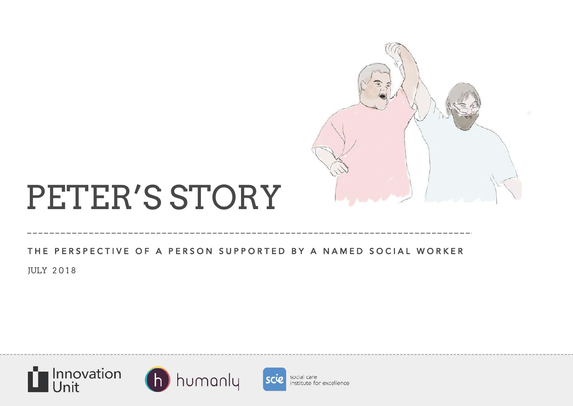

# PETER'S STORY

### THE PERSPECTIVE OF A PERSON SUPPORTED BY A NAMED SOCIAL WORKER

JULY 2 0 1 8







social care institute for excellence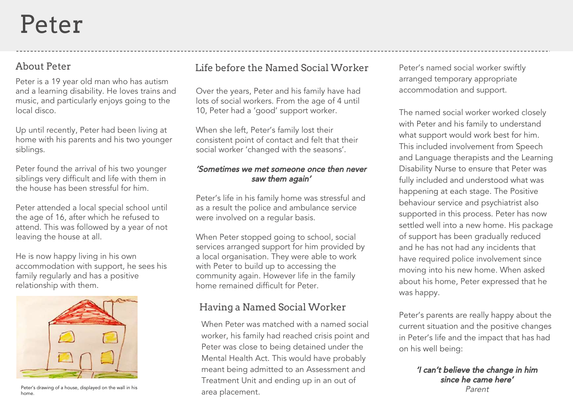## About Peter

Peter is a 19 year old man who has autism and a learning disability. He loves trains and music, and particularly enjoys going to the local disco.

Up until recently, Peter had been living at home with his parents and his two younger siblings.

Peter found the arrival of his two younger siblings very difficult and life with them in the house has been stressful for him.

Peter attended a local special school until the age of 16, after which he refused to attend. This was followed by a year of not leaving the house at all.

He is now happy living in his own accommodation with support, he sees his family regularly and has a positive relationship with them.



Peter's drawing of a house, displayed on the wall in his home.

### Life before the Named Social Worker

Over the years, Peter and his family have had lots of social workers. From the age of 4 until 10, Peter had a 'good' support worker.

When she left, Peter's family lost their consistent point of contact and felt that their social worker 'changed with the seasons'.

#### 'Sometimes we met someone once then never saw them again'

Peter's life in his family home was stressful and as a result the police and ambulance service were involved on a regular basis.

When Peter stopped going to school, social services arranged support for him provided by a local organisation. They were able to work with Peter to build up to accessing the community again. However life in the family home remained difficult for Peter

### Having a Named Social Worker

When Peter was matched with a named social worker, his family had reached crisis point and Peter was close to being detained under the Mental Health Act. This would have probably meant being admitted to an Assessment and Treatment Unit and ending up in an out of area placement.

Peter's named social worker swiftly arranged temporary appropriate accommodation and support.

The named social worker worked closely with Peter and his family to understand what support would work best for him. This included involvement from Speech and Language therapists and the Learning Disability Nurse to ensure that Peter was fully included and understood what was happening at each stage. The Positive behaviour service and psychiatrist also supported in this process. Peter has now settled well into a new home. His package of support has been gradually reduced and he has not had any incidents that have required police involvement since moving into his new home. When asked about his home, Peter expressed that he was happy.

Peter's parents are really happy about the current situation and the positive changes in Peter's life and the impact that has had on his well being:

> 'I can't believe the change in him since he came here' Parent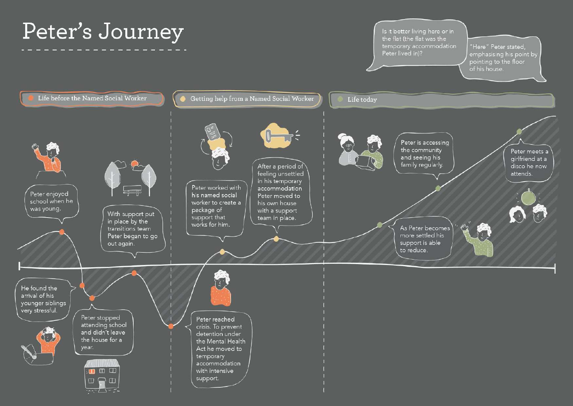## Peter's Journey

Is it better living here or in the flat (the flat was the temporary accommodation Peter lived in)?

'Here" Peter stated, emphasising his point by pointing to the floor of his house.

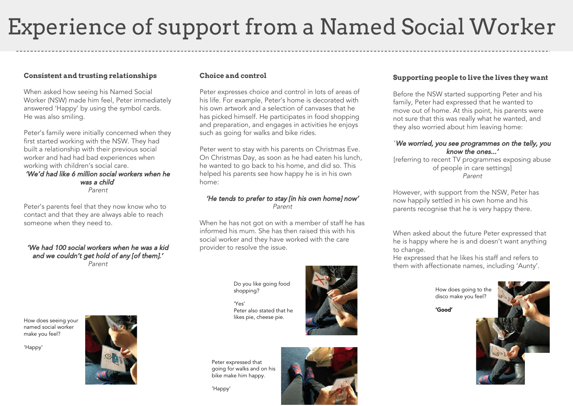## Experience of support from a Named Social Worker

#### **Consistent and trusting relationships**

When asked how seeing his Named Social Worker (NSW) made him feel, Peter immediately answered 'Happy' by using the symbol cards. He was also smiling.

Peter's family were initially concerned when they first started working with the NSW. They had built a relationship with their previous social worker and had had bad experiences when working with children's social care. 'We'd had like 6 million social workers when he was a child'

Parent

Peter's parents feel that they now know who to contact and that they are always able to reach someone when they need to.

#### 'We had 100 social workers when he was a kid and we couldn't get hold of any [of them].' Parent

How does seeing your named social worker make you feel?

'Happy'



#### **Choice and control**

Peter expresses choice and control in lots of areas of his life. For example, Peter's home is decorated with his own artwork and a selection of canvases that he has picked himself. He participates in food shopping and preparation, and engages in activities he enjoys such as going for walks and bike rides.

Peter went to stay with his parents on Christmas Eve. On Christmas Day, as soon as he had eaten his lunch, he wanted to go back to his home, and did so. This helped his parents see how happy he is in his own home:

#### 'He tends to prefer to stay [in his own home] now' Parent

When he has not got on with a member of staff he has informed his mum. She has then raised this with his social worker and they have worked with the care provider to resolve the issue.

Do you like going food shopping?

'Yes' Peter also stated that he likes pie, cheese pie.



Peter expressed that going for walks and on his bike make him happy.



#### **Supporting people to live the lives they want**

Before the NSW started supporting Peter and his family, Peter had expressed that he wanted to move out of home. At this point, his parents were not sure that this was really what he wanted, and they also worried about him leaving home:

#### 'We worried, you see programmes on the telly, you know the ones...'

[referring to recent TV programmes exposing abuse of people in care settings] Parent

However, with support from the NSW, Peter has now happily settled in his own home and his parents recognise that he is very happy there.

When asked about the future Peter expressed that he is happy where he is and doesn't want anything to change.

He expressed that he likes his staff and refers to them with affectionate names, including 'Aunty'.

> How does going to the disco make you feel?

'Good'

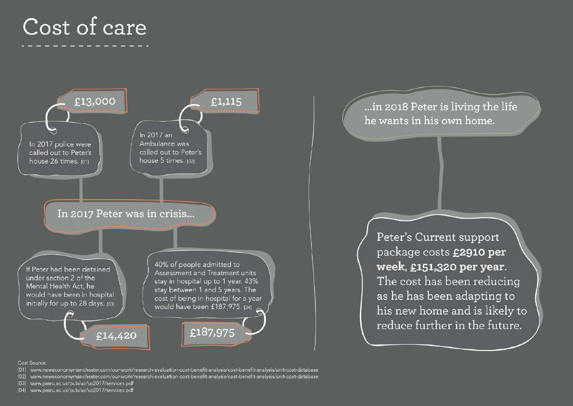## Cost of care



...in 2018 Peter is living the life he wants in his own home.

Peter's Current support package costs £2910 per week, £151,320 per year. The cost has been reducing as he has been adapting to his new home and is likely to reduce further in the future.

#### Cost Source:

- [01] www.neweconomymanchester.com/our-work/research-evaluation-cost-benefit-analysis/cost-benefit-analysis/unit-cost-database
- [02] www.neweconomymanchester.com/our-work/research-evaluation-cost-benefit-analysis/cost-benefit-analysis/unit-cost-database
- [03] www.pssru.ac.uk/pub/uc/uc2017/services.pdf
- [04] www.pssru.ac.uk/pub/uc/uc2017/services.pdf